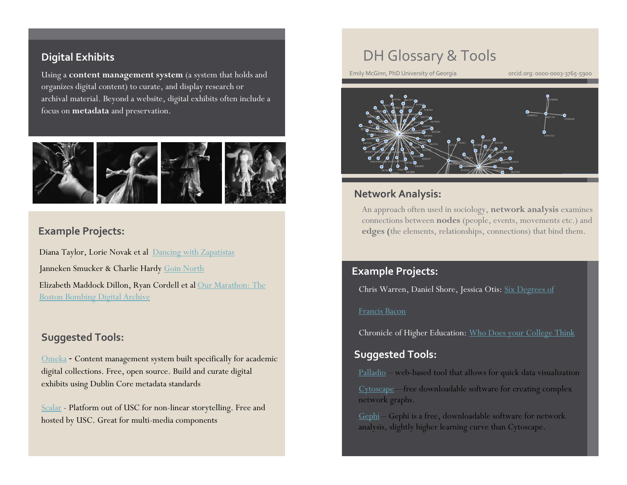### **Digital Exhibits**

Using a **content management system** (a system that holds and organizes digital content) to curate, and display research or archival material. Beyond a website, digital exhibits often include a focus on **metadata** and preservation.



### **Example Projects:**

Diana Taylor, Lorie Novak et al [Dancing with Zapatistas](http://scalar.usc.edu/anvc/dancing-with-the-zapatistas/table-of-contents) Janneken Smucker & Charlie Hardy [Goin North](https://goinnorth.org/) Elizabeth Maddock Dillon, Ryan Cordell et al [Our Marathon: The](http://marathon.neu.edu/about)  [Boston Bombing Digital Archive](http://marathon.neu.edu/about)

### **Suggested Tools:**

[Omeka](http://omeka.org/) - Content management system built specifically for academic digital collections. Free, open source. Build and curate digital exhibits using Dublin Core metadata standards

[Scalar](http://scalar.usc.edu/) - Platform out of USC for non-linear storytelling. Free and hosted by USC. Great for multi-media components

### DH Glossary & Tools

Emily McGinn, PhD University of Georgia **orcid.org: 0000-0003-3765-5900** 



### **Network Analysis:**

An approach often used in sociology, **network analysis** examines connections between **nodes** (people, events, movements etc.) and **edges (**the elements, relationships, connections) that bind them.

### **Example Projects:**

Chris Warren, Daniel Shore, Jessica Otis: [Six Degrees of](http://sixdegreesoffrancisbacon.com/) 

#### [Francis Bacon](http://sixdegreesoffrancisbacon.com/)

Chronicle of Higher Education: [Who Does your College](http://chronicle.com/interactives/peers-network) Think

### **Suggested Tools:**

[Palladio](http://hdlab.stanford.edu/palladio/) – web-based tool that allows for quick data visualization

[Cytoscape—](http://www.cytoscape.org/)free downloadable software for creating complex network graphs.

[Gephi](http://www.gephi.org/) – Gephi is a free, downloadable software for network analysis, slightly higher learning curve than Cytoscape.